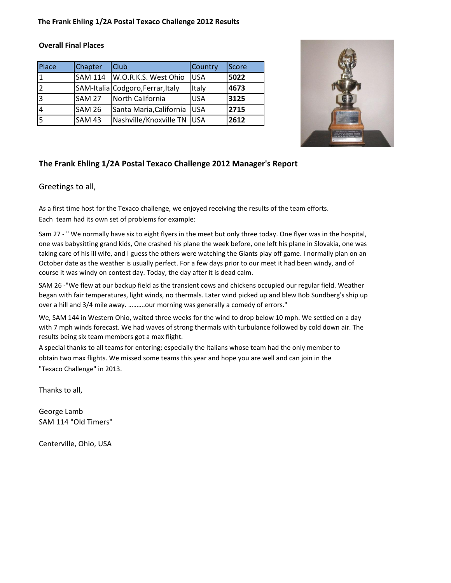#### **The Frank Ehling 1/2A Postal Texaco Challenge 2012 Results**

#### **Overall Final Places**

| Place          | Chapter       | <b>Club</b>                       | Country     | <b>Score</b> |
|----------------|---------------|-----------------------------------|-------------|--------------|
|                |               | SAM 114   W.O.R.K.S. West Ohio    | <b>JUSA</b> | 5022         |
|                |               | SAM-Italia Codgoro, Ferrar, Italy | Italy       | 4673         |
| 13             | <b>SAM 27</b> | North California                  | <b>USA</b>  | 3125         |
| $\overline{4}$ | <b>SAM 26</b> | Santa Maria, California           | <b>IUSA</b> | 2715         |
| 5              | <b>SAM 43</b> | Nashville/Knoxville TN   USA      |             | 2612         |



### **The Frank Ehling 1/2A Postal Texaco Challenge 2012 Manager's Report**

#### Greetings to all,

As a first time host for the Texaco challenge, we enjoyed receiving the results of the team efforts. Each team had its own set of problems for example:

Sam 27 - " We normally have six to eight flyers in the meet but only three today. One flyer was in the hospital, one was babysitting grand kids, One crashed his plane the week before, one left his plane in Slovakia, one was taking care of his ill wife, and I guess the others were watching the Giants play off game. I normally plan on an October date as the weather is usually perfect. For a few days prior to our meet it had been windy, and of course it was windy on contest day. Today, the day after it is dead calm.

SAM 26 -"We flew at our backup field as the transient cows and chickens occupied our regular field. Weather began with fair temperatures, light winds, no thermals. Later wind picked up and blew Bob Sundberg's ship up over a hill and 3/4 mile away. ……….our morning was generally a comedy of errors."

We, SAM 144 in Western Ohio, waited three weeks for the wind to drop below 10 mph. We settled on a day with 7 mph winds forecast. We had waves of strong thermals with turbulance followed by cold down air. The results being six team members got a max flight.

A special thanks to all teams for entering; especially the Italians whose team had the only member to obtain two max flights. We missed some teams this year and hope you are well and can join in the "Texaco Challenge" in 2013.

Thanks to all,

George Lamb SAM 114 "Old Timers"

Centerville, Ohio, USA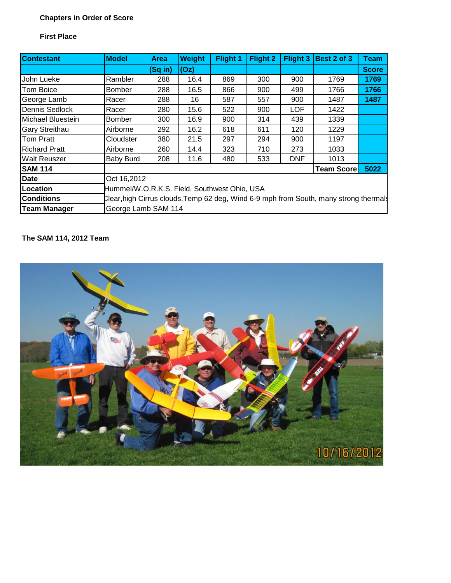# **Chapters in Order of Score**

### **First Place**

| Contestant           | <b>Model</b>  | <b>Area</b>                                                                           | Weight | Flight 1 | Flight 2 | Flight 3   | Best 2 of 3       | <b>Team</b>  |  |  |  |
|----------------------|---------------|---------------------------------------------------------------------------------------|--------|----------|----------|------------|-------------------|--------------|--|--|--|
|                      |               | $(Sq$ in)                                                                             | (Oz)   |          |          |            |                   | <b>Score</b> |  |  |  |
| John Lueke           | Rambler       | 288                                                                                   | 16.4   | 869      | 300      | 900        | 1769              | 1769         |  |  |  |
| Tom Boice            | <b>Bomber</b> | 288                                                                                   | 16.5   | 866      | 900      | 499        | 1766              | 1766         |  |  |  |
| George Lamb          | Racer         | 288                                                                                   | 16     | 587      | 557      | 900        | 1487              | 1487         |  |  |  |
| Dennis Sedlock       | Racer         | 280                                                                                   | 15.6   | 522      | 900      | <b>LOF</b> | 1422              |              |  |  |  |
| Michael Bluestein    | Bomber        | 300                                                                                   | 16.9   | 900      | 314      | 439        | 1339              |              |  |  |  |
| Gary Streithau       | Airborne      | 292                                                                                   | 16.2   | 618      | 611      | 120        | 1229              |              |  |  |  |
| Tom Pratt            | Cloudster     | 380                                                                                   | 21.5   | 297      | 294      | 900        | 1197              |              |  |  |  |
| <b>Richard Pratt</b> | Airborne      | 260                                                                                   | 14.4   | 323      | 710      | 273        | 1033              |              |  |  |  |
| Walt Reuszer         | Baby Burd     | 208                                                                                   | 11.6   | 480      | 533      | <b>DNF</b> | 1013              |              |  |  |  |
| <b>SAM 114</b>       |               |                                                                                       |        |          |          |            | <b>Team Score</b> | 5022         |  |  |  |
| Date                 | Oct 16,2012   |                                                                                       |        |          |          |            |                   |              |  |  |  |
| Location             |               | Hummel/W.O.R.K.S. Field, Southwest Ohio, USA                                          |        |          |          |            |                   |              |  |  |  |
| Conditions           |               | Clear, high Cirrus clouds, Temp 62 deg, Wind 6-9 mph from South, many strong thermals |        |          |          |            |                   |              |  |  |  |
| <b>Team Manager</b>  |               | George Lamb SAM 114                                                                   |        |          |          |            |                   |              |  |  |  |

# **The SAM 114, 2012 Team**

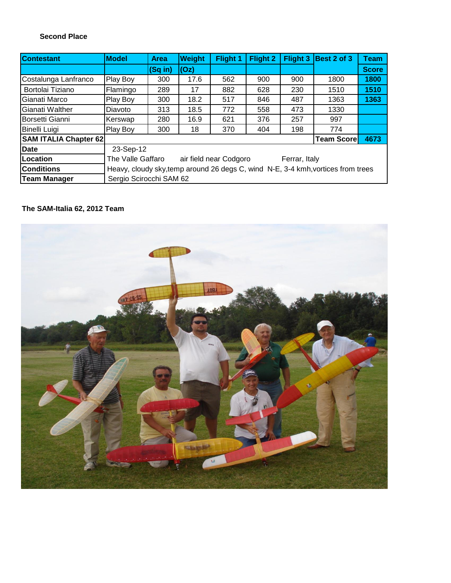#### **Second Place**

| <b>Contestant</b>            | <b>Model</b>                                                                     | <b>Area</b>       | Weight | Flight 1 | Flight 2 |     | Flight 3 Best 2 of 3 | <b>Team</b>  |
|------------------------------|----------------------------------------------------------------------------------|-------------------|--------|----------|----------|-----|----------------------|--------------|
|                              |                                                                                  | $(Sq in)$ $ (Oz)$ |        |          |          |     |                      | <b>Score</b> |
| Costalunga Lanfranco         | Play Boy                                                                         | 300               | 17.6   | 562      | 900      | 900 | 1800                 | 1800         |
| Bortolai Tiziano             | Flamingo                                                                         | 289               | 17     | 882      | 628      | 230 | 1510                 | 1510         |
| Gianati Marco                | Play Boy                                                                         | 300               | 18.2   | 517      | 846      | 487 | 1363                 | 1363         |
| Gianati Walther              | Diavoto                                                                          | 313               | 18.5   | 772      | 558      | 473 | 1330                 |              |
| Borsetti Gianni              | Kerswap                                                                          | 280               | 16.9   | 621      | 376      | 257 | 997                  |              |
| Binelli Luigi                | Play Boy                                                                         | 300               | 18     | 370      | 404      | 198 | 774                  |              |
| <b>SAM ITALIA Chapter 62</b> |                                                                                  |                   |        |          |          |     | <b>Team Scorel</b>   | 4673         |
| <b>Date</b>                  | 23-Sep-12                                                                        |                   |        |          |          |     |                      |              |
| Location                     | The Valle Gaffaro<br>air field near Codgoro<br>Ferrar, Italy                     |                   |        |          |          |     |                      |              |
| <b>Conditions</b>            | Heavy, cloudy sky, temp around 26 degs C, wind N-E, 3-4 kmh, vortices from trees |                   |        |          |          |     |                      |              |
| <b>Team Manager</b>          | Sergio Scirocchi SAM 62                                                          |                   |        |          |          |     |                      |              |

### **The SAM-Italia 62, 2012 Team**

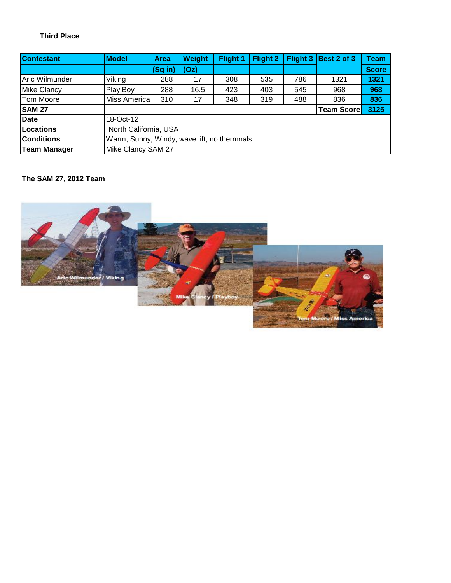### **Third Place**

| <b>Contestant</b>   | <b>Model</b>  | <b>Area</b>                                 | <b>Weight</b> | Flight 1 | <b>Flight 2</b> | Flight 3 | Best 2 of 3 | Team         |  |  |
|---------------------|---------------|---------------------------------------------|---------------|----------|-----------------|----------|-------------|--------------|--|--|
|                     |               | $(Sq$ in)                                   | (Oz)          |          |                 |          |             | <b>Score</b> |  |  |
| Aric Wilmunder      | Viking        | 288                                         | 17            | 308      | 535             | 786      | 1321        | 1321         |  |  |
| <b>Mike Clancy</b>  | Play Boy      | 288                                         | 16.5          | 423      | 403             | 545      | 968         | 968          |  |  |
| <b>Tom Moore</b>    | Miss Americal | 310                                         | 17            | 348      | 319             | 488      | 836         | 836          |  |  |
| <b>SAM 27</b>       |               | 3125<br><b>Team Score</b>                   |               |          |                 |          |             |              |  |  |
| <b>Date</b>         | 18-Oct-12     |                                             |               |          |                 |          |             |              |  |  |
| <b>Locations</b>    |               | North California, USA                       |               |          |                 |          |             |              |  |  |
| <b>Conditions</b>   |               | Warm, Sunny, Windy, wave lift, no thermnals |               |          |                 |          |             |              |  |  |
| <b>Team Manager</b> |               | Mike Clancy SAM 27                          |               |          |                 |          |             |              |  |  |

### **The SAM 27, 2012 Team**

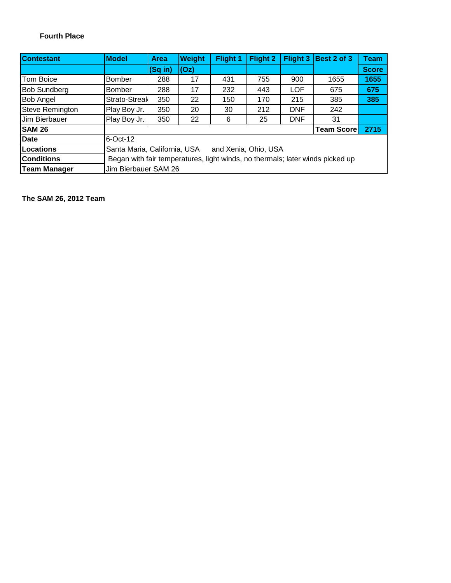### **Fourth Place**

| <b>Contestant</b>      | <b>Model</b>  | <b>Area</b>                                                                   | <b>Weight</b> | Flight 1 | <b>Flight 2</b> | Flight 3   | Best 2 of 3 | <b>Team</b>  |  |  |
|------------------------|---------------|-------------------------------------------------------------------------------|---------------|----------|-----------------|------------|-------------|--------------|--|--|
|                        |               | (Sq in)                                                                       | (Oz)          |          |                 |            |             | <b>Score</b> |  |  |
| Tom Boice              | <b>Bomber</b> | 288                                                                           | 17            | 431      | 755             | 900        | 1655        | 1655         |  |  |
| <b>Bob Sundberg</b>    | <b>Bomber</b> | 288                                                                           | 17            | 232      | 443             | <b>LOF</b> | 675         | 675          |  |  |
| Bob Angel              | Strato-Streal | 350                                                                           | 22            | 150      | 170             | 215        | 385         | 385          |  |  |
| <b>Steve Remington</b> | Play Boy Jr.  | 350                                                                           | 20            | 30       | 212             | <b>DNF</b> | 242         |              |  |  |
| Jim Bierbauer          | Play Boy Jr.  | 350                                                                           | 22            | 6        | 25              | <b>DNF</b> | 31          |              |  |  |
| <b>SAM 26</b>          |               | 2715<br><b>Team Score</b>                                                     |               |          |                 |            |             |              |  |  |
| <b>Date</b>            | $6$ -Oct-12   |                                                                               |               |          |                 |            |             |              |  |  |
| <b>Locations</b>       |               | Santa Maria, California, USA<br>and Xenia, Ohio, USA                          |               |          |                 |            |             |              |  |  |
| <b>Conditions</b>      |               | Began with fair temperatures, light winds, no thermals; later winds picked up |               |          |                 |            |             |              |  |  |
| <b>Team Manager</b>    |               | Jim Bierbauer SAM 26                                                          |               |          |                 |            |             |              |  |  |

**The SAM 26, 2012 Team**